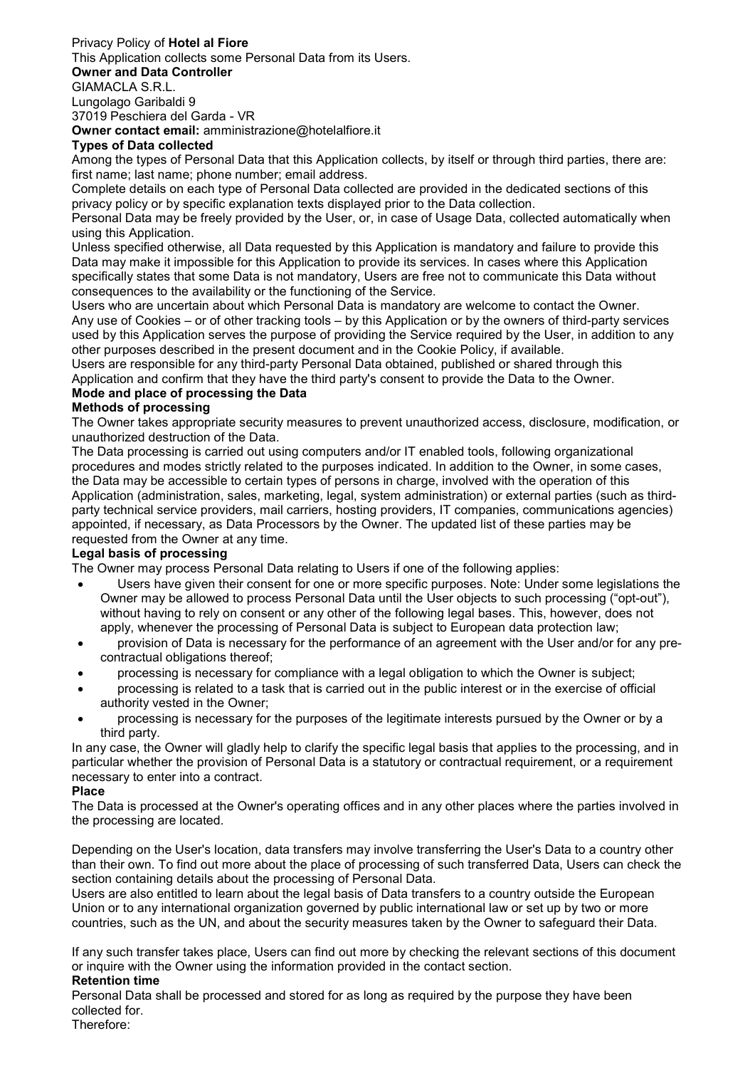# Privacy Policy of Hotel al Fiore

This Application collects some Personal Data from its Users.

#### Owner and Data Controller

GIAMACLA S.R.L.

Lungolago Garibaldi 9 37019 Peschiera del Garda - VR

Owner contact email: amministrazione@hotelalfiore.it

## Types of Data collected

Among the types of Personal Data that this Application collects, by itself or through third parties, there are: first name; last name; phone number; email address.

Complete details on each type of Personal Data collected are provided in the dedicated sections of this privacy policy or by specific explanation texts displayed prior to the Data collection.

Personal Data may be freely provided by the User, or, in case of Usage Data, collected automatically when using this Application.

Unless specified otherwise, all Data requested by this Application is mandatory and failure to provide this Data may make it impossible for this Application to provide its services. In cases where this Application specifically states that some Data is not mandatory, Users are free not to communicate this Data without consequences to the availability or the functioning of the Service.

Users who are uncertain about which Personal Data is mandatory are welcome to contact the Owner. Any use of Cookies – or of other tracking tools – by this Application or by the owners of third-party services used by this Application serves the purpose of providing the Service required by the User, in addition to any other purposes described in the present document and in the Cookie Policy, if available.

Users are responsible for any third-party Personal Data obtained, published or shared through this Application and confirm that they have the third party's consent to provide the Data to the Owner.

## Mode and place of processing the Data

## Methods of processing

The Owner takes appropriate security measures to prevent unauthorized access, disclosure, modification, or unauthorized destruction of the Data.

The Data processing is carried out using computers and/or IT enabled tools, following organizational procedures and modes strictly related to the purposes indicated. In addition to the Owner, in some cases, the Data may be accessible to certain types of persons in charge, involved with the operation of this Application (administration, sales, marketing, legal, system administration) or external parties (such as thirdparty technical service providers, mail carriers, hosting providers, IT companies, communications agencies) appointed, if necessary, as Data Processors by the Owner. The updated list of these parties may be requested from the Owner at any time.

### Legal basis of processing

The Owner may process Personal Data relating to Users if one of the following applies:

- Users have given their consent for one or more specific purposes. Note: Under some legislations the Owner may be allowed to process Personal Data until the User objects to such processing ("opt-out"), without having to rely on consent or any other of the following legal bases. This, however, does not apply, whenever the processing of Personal Data is subject to European data protection law;
- provision of Data is necessary for the performance of an agreement with the User and/or for any precontractual obligations thereof;
- processing is necessary for compliance with a legal obligation to which the Owner is subject;
- processing is related to a task that is carried out in the public interest or in the exercise of official authority vested in the Owner;
- processing is necessary for the purposes of the legitimate interests pursued by the Owner or by a third party.

In any case, the Owner will gladly help to clarify the specific legal basis that applies to the processing, and in particular whether the provision of Personal Data is a statutory or contractual requirement, or a requirement necessary to enter into a contract.

### Place

The Data is processed at the Owner's operating offices and in any other places where the parties involved in the processing are located.

Depending on the User's location, data transfers may involve transferring the User's Data to a country other than their own. To find out more about the place of processing of such transferred Data, Users can check the section containing details about the processing of Personal Data.

Users are also entitled to learn about the legal basis of Data transfers to a country outside the European Union or to any international organization governed by public international law or set up by two or more countries, such as the UN, and about the security measures taken by the Owner to safeguard their Data.

If any such transfer takes place, Users can find out more by checking the relevant sections of this document or inquire with the Owner using the information provided in the contact section.

### Retention time

Personal Data shall be processed and stored for as long as required by the purpose they have been collected for.

Therefore: